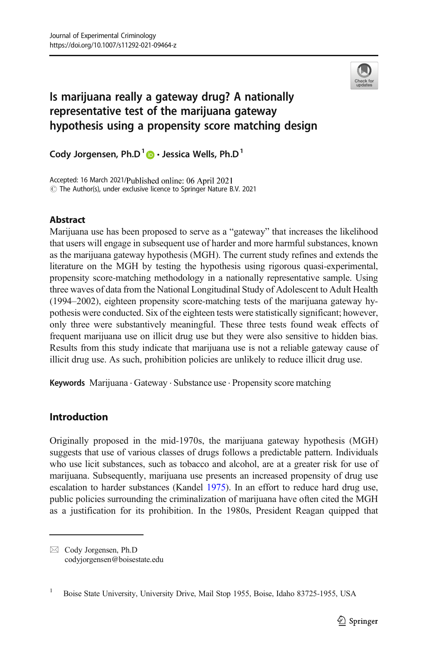

# Is marijuana really a gateway drug? A nationally representative test of the marijuana gateway hypothesis using a propensity score matching design

Cody Jorgensen, Ph.D $^{1}$   $\bullet$   $\cdot$  Jessica Wells, Ph.D<sup>1</sup>

Accepted: 16 March 2021/Published online: 06 April 2021  $\circled{C}$  The Author(s), under exclusive licence to Springer Nature B.V. 2021

### **Abstract**

Marijuana use has been proposed to serve as a "gateway" that increases the likelihood that users will engage in subsequent use of harder and more harmful substances, known as the marijuana gateway hypothesis (MGH). The current study refines and extends the literature on the MGH by testing the hypothesis using rigorous quasi-experimental, propensity score-matching methodology in a nationally representative sample. Using three waves of data from the National Longitudinal Study of Adolescent to Adult Health (1994–2002), eighteen propensity score-matching tests of the marijuana gateway hypothesis were conducted. Six of the eighteen tests were statistically significant; however, only three were substantively meaningful. These three tests found weak effects of frequent marijuana use on illicit drug use but they were also sensitive to hidden bias. Results from this study indicate that marijuana use is not a reliable gateway cause of illicit drug use. As such, prohibition policies are unlikely to reduce illicit drug use.

Keywords Marijuana · Gateway · Substance use · Propensity score matching

# Introduction

Originally proposed in the mid-1970s, the marijuana gateway hypothesis (MGH) suggests that use of various classes of drugs follows a predictable pattern. Individuals who use licit substances, such as tobacco and alcohol, are at a greater risk for use of marijuana. Subsequently, marijuana use presents an increased propensity of drug use escalation to harder substances (Kandel [1975\)](#page-16-0). In an effort to reduce hard drug use, public policies surrounding the criminalization of marijuana have often cited the MGH as a justification for its prohibition. In the 1980s, President Reagan quipped that

 $\boxtimes$  Cody Jorgensen, Ph.D [codyjorgensen@boisestate.edu](mailto:codyjorgensen@boisestate.edu)

<sup>&</sup>lt;sup>1</sup> Boise State University, University Drive, Mail Stop 1955, Boise, Idaho 83725-1955, USA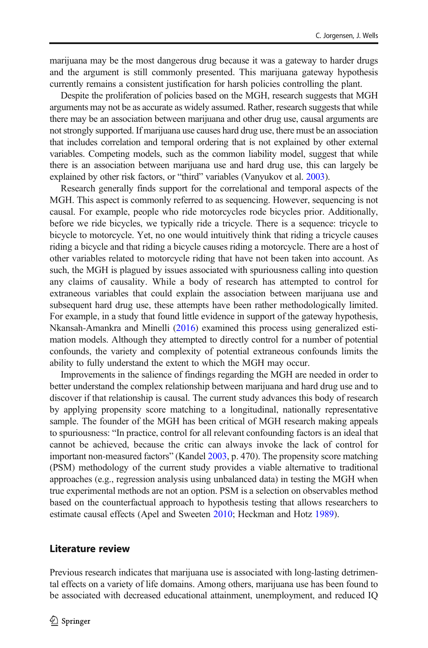marijuana may be the most dangerous drug because it was a gateway to harder drugs and the argument is still commonly presented. This marijuana gateway hypothesis currently remains a consistent justification for harsh policies controlling the plant.

Despite the proliferation of policies based on the MGH, research suggests that MGH arguments may not be as accurate as widely assumed. Rather, research suggests that while there may be an association between marijuana and other drug use, causal arguments are not strongly supported. If marijuana use causes hard drug use, there must be an association that includes correlation and temporal ordering that is not explained by other external variables. Competing models, such as the common liability model, suggest that while there is an association between marijuana use and hard drug use, this can largely be explained by other risk factors, or "third" variables (Vanyukov et al. [2003\)](#page-17-0).

Research generally finds support for the correlational and temporal aspects of the MGH. This aspect is commonly referred to as sequencing. However, sequencing is not causal. For example, people who ride motorcycles rode bicycles prior. Additionally, before we ride bicycles, we typically ride a tricycle. There is a sequence: tricycle to bicycle to motorcycle. Yet, no one would intuitively think that riding a tricycle causes riding a bicycle and that riding a bicycle causes riding a motorcycle. There are a host of other variables related to motorcycle riding that have not been taken into account. As such, the MGH is plagued by issues associated with spuriousness calling into question any claims of causality. While a body of research has attempted to control for extraneous variables that could explain the association between marijuana use and subsequent hard drug use, these attempts have been rather methodologically limited. For example, in a study that found little evidence in support of the gateway hypothesis, Nkansah-Amankra and Minelli [\(2016\)](#page-16-0) examined this process using generalized estimation models. Although they attempted to directly control for a number of potential confounds, the variety and complexity of potential extraneous confounds limits the ability to fully understand the extent to which the MGH may occur.

Improvements in the salience of findings regarding the MGH are needed in order to better understand the complex relationship between marijuana and hard drug use and to discover if that relationship is causal. The current study advances this body of research by applying propensity score matching to a longitudinal, nationally representative sample. The founder of the MGH has been critical of MGH research making appeals to spuriousness: "In practice, control for all relevant confounding factors is an ideal that cannot be achieved, because the critic can always invoke the lack of control for important non-measured factors" (Kandel [2003](#page-16-0), p. 470). The propensity score matching (PSM) methodology of the current study provides a viable alternative to traditional approaches (e.g., regression analysis using unbalanced data) in testing the MGH when true experimental methods are not an option. PSM is a selection on observables method based on the counterfactual approach to hypothesis testing that allows researchers to estimate causal effects (Apel and Sweeten [2010;](#page-15-0) Heckman and Hotz [1989\)](#page-16-0).

#### Literature review

Previous research indicates that marijuana use is associated with long-lasting detrimental effects on a variety of life domains. Among others, marijuana use has been found to be associated with decreased educational attainment, unemployment, and reduced IQ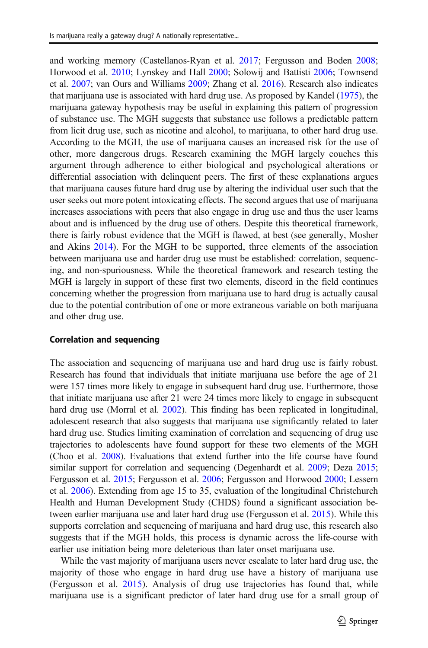and working memory (Castellanos-Ryan et al. [2017](#page-15-0); Fergusson and Boden [2008;](#page-16-0) Horwood et al. [2010;](#page-16-0) Lynskey and Hall [2000;](#page-16-0) Solowij and Battisti [2006;](#page-17-0) Townsend et al. [2007;](#page-17-0) van Ours and Williams [2009;](#page-17-0) Zhang et al. [2016](#page-17-0)). Research also indicates that marijuana use is associated with hard drug use. As proposed by Kandel [\(1975\)](#page-16-0), the marijuana gateway hypothesis may be useful in explaining this pattern of progression of substance use. The MGH suggests that substance use follows a predictable pattern from licit drug use, such as nicotine and alcohol, to marijuana, to other hard drug use. According to the MGH, the use of marijuana causes an increased risk for the use of other, more dangerous drugs. Research examining the MGH largely couches this argument through adherence to either biological and psychological alterations or differential association with delinquent peers. The first of these explanations argues that marijuana causes future hard drug use by altering the individual user such that the user seeks out more potent intoxicating effects. The second argues that use of marijuana increases associations with peers that also engage in drug use and thus the user learns about and is influenced by the drug use of others. Despite this theoretical framework, there is fairly robust evidence that the MGH is flawed, at best (see generally, Mosher and Akins [2014](#page-16-0)). For the MGH to be supported, three elements of the association between marijuana use and harder drug use must be established: correlation, sequencing, and non-spuriousness. While the theoretical framework and research testing the MGH is largely in support of these first two elements, discord in the field continues concerning whether the progression from marijuana use to hard drug is actually causal due to the potential contribution of one or more extraneous variable on both marijuana and other drug use.

#### Correlation and sequencing

The association and sequencing of marijuana use and hard drug use is fairly robust. Research has found that individuals that initiate marijuana use before the age of 21 were 157 times more likely to engage in subsequent hard drug use. Furthermore, those that initiate marijuana use after 21 were 24 times more likely to engage in subsequent hard drug use (Morral et al. [2002](#page-16-0)). This finding has been replicated in longitudinal, adolescent research that also suggests that marijuana use significantly related to later hard drug use. Studies limiting examination of correlation and sequencing of drug use trajectories to adolescents have found support for these two elements of the MGH (Choo et al. [2008\)](#page-15-0). Evaluations that extend further into the life course have found similar support for correlation and sequencing (Degenhardt et al. [2009;](#page-15-0) Deza [2015;](#page-15-0) Fergusson et al. [2015](#page-16-0); Fergusson et al. [2006](#page-16-0); Fergusson and Horwood [2000;](#page-16-0) Lessem et al. [2006\)](#page-16-0). Extending from age 15 to 35, evaluation of the longitudinal Christchurch Health and Human Development Study (CHDS) found a significant association between earlier marijuana use and later hard drug use (Fergusson et al. [2015\)](#page-16-0). While this supports correlation and sequencing of marijuana and hard drug use, this research also suggests that if the MGH holds, this process is dynamic across the life-course with earlier use initiation being more deleterious than later onset marijuana use.

While the vast majority of marijuana users never escalate to later hard drug use, the majority of those who engage in hard drug use have a history of marijuana use (Fergusson et al. [2015](#page-16-0)). Analysis of drug use trajectories has found that, while marijuana use is a significant predictor of later hard drug use for a small group of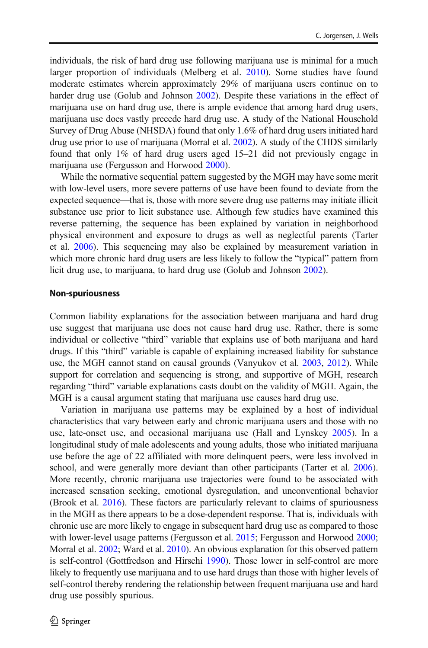individuals, the risk of hard drug use following marijuana use is minimal for a much larger proportion of individuals (Melberg et al. [2010\)](#page-16-0). Some studies have found moderate estimates wherein approximately 29% of marijuana users continue on to harder drug use (Golub and Johnson [2002](#page-16-0)). Despite these variations in the effect of marijuana use on hard drug use, there is ample evidence that among hard drug users, marijuana use does vastly precede hard drug use. A study of the National Household Survey of Drug Abuse (NHSDA) found that only 1.6% of hard drug users initiated hard drug use prior to use of marijuana (Morral et al. [2002](#page-16-0)). A study of the CHDS similarly found that only 1% of hard drug users aged 15–21 did not previously engage in marijuana use (Fergusson and Horwood [2000\)](#page-16-0).

While the normative sequential pattern suggested by the MGH may have some merit with low-level users, more severe patterns of use have been found to deviate from the expected sequence—that is, those with more severe drug use patterns may initiate illicit substance use prior to licit substance use. Although few studies have examined this reverse patterning, the sequence has been explained by variation in neighborhood physical environment and exposure to drugs as well as neglectful parents (Tarter et al. [2006\)](#page-17-0). This sequencing may also be explained by measurement variation in which more chronic hard drug users are less likely to follow the "typical" pattern from licit drug use, to marijuana, to hard drug use (Golub and Johnson [2002](#page-16-0)).

#### Non-spuriousness

Common liability explanations for the association between marijuana and hard drug use suggest that marijuana use does not cause hard drug use. Rather, there is some individual or collective "third" variable that explains use of both marijuana and hard drugs. If this "third" variable is capable of explaining increased liability for substance use, the MGH cannot stand on causal grounds (Vanyukov et al. [2003](#page-17-0), [2012\)](#page-17-0). While support for correlation and sequencing is strong, and supportive of MGH, research regarding "third" variable explanations casts doubt on the validity of MGH. Again, the MGH is a causal argument stating that marijuana use causes hard drug use.

Variation in marijuana use patterns may be explained by a host of individual characteristics that vary between early and chronic marijuana users and those with no use, late-onset use, and occasional marijuana use (Hall and Lynskey [2005](#page-16-0)). In a longitudinal study of male adolescents and young adults, those who initiated marijuana use before the age of 22 affiliated with more delinquent peers, were less involved in school, and were generally more deviant than other participants (Tarter et al. [2006\)](#page-17-0). More recently, chronic marijuana use trajectories were found to be associated with increased sensation seeking, emotional dysregulation, and unconventional behavior (Brook et al. [2016\)](#page-15-0). These factors are particularly relevant to claims of spuriousness in the MGH as there appears to be a dose-dependent response. That is, individuals with chronic use are more likely to engage in subsequent hard drug use as compared to those with lower-level usage patterns (Fergusson et al. [2015;](#page-16-0) Fergusson and Horwood [2000;](#page-16-0) Morral et al. [2002;](#page-16-0) Ward et al. [2010\)](#page-17-0). An obvious explanation for this observed pattern is self-control (Gottfredson and Hirschi [1990](#page-16-0)). Those lower in self-control are more likely to frequently use marijuana and to use hard drugs than those with higher levels of self-control thereby rendering the relationship between frequent marijuana use and hard drug use possibly spurious.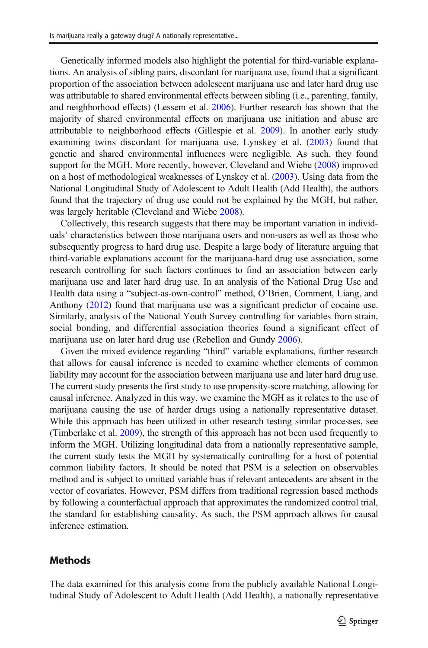Genetically informed models also highlight the potential for third-variable explanations. An analysis of sibling pairs, discordant for marijuana use, found that a significant proportion of the association between adolescent marijuana use and later hard drug use was attributable to shared environmental effects between sibling (i.e., parenting, family, and neighborhood effects) (Lessem et al. [2006\)](#page-16-0). Further research has shown that the majority of shared environmental effects on marijuana use initiation and abuse are attributable to neighborhood effects (Gillespie et al. [2009](#page-16-0)). In another early study examining twins discordant for marijuana use, Lynskey et al. ([2003\)](#page-16-0) found that genetic and shared environmental influences were negligible. As such, they found support for the MGH. More recently, however, Cleveland and Wiebe ([2008](#page-15-0)) improved on a host of methodological weaknesses of Lynskey et al. ([2003](#page-16-0)). Using data from the National Longitudinal Study of Adolescent to Adult Health (Add Health), the authors found that the trajectory of drug use could not be explained by the MGH, but rather, was largely heritable (Cleveland and Wiebe [2008](#page-15-0)).

Collectively, this research suggests that there may be important variation in individuals' characteristics between those marijuana users and non-users as well as those who subsequently progress to hard drug use. Despite a large body of literature arguing that third-variable explanations account for the marijuana-hard drug use association, some research controlling for such factors continues to find an association between early marijuana use and later hard drug use. In an analysis of the National Drug Use and Health data using a "subject-as-own-control" method, O'Brien, Comment, Liang, and Anthony ([2012](#page-16-0)) found that marijuana use was a significant predictor of cocaine use. Similarly, analysis of the National Youth Survey controlling for variables from strain, social bonding, and differential association theories found a significant effect of marijuana use on later hard drug use (Rebellon and Gundy [2006](#page-16-0)).

Given the mixed evidence regarding "third" variable explanations, further research that allows for causal inference is needed to examine whether elements of common liability may account for the association between marijuana use and later hard drug use. The current study presents the first study to use propensity-score matching, allowing for causal inference. Analyzed in this way, we examine the MGH as it relates to the use of marijuana causing the use of harder drugs using a nationally representative dataset. While this approach has been utilized in other research testing similar processes, see (Timberlake et al. [2009\)](#page-17-0), the strength of this approach has not been used frequently to inform the MGH. Utilizing longitudinal data from a nationally representative sample, the current study tests the MGH by systematically controlling for a host of potential common liability factors. It should be noted that PSM is a selection on observables method and is subject to omitted variable bias if relevant antecedents are absent in the vector of covariates. However, PSM differs from traditional regression based methods by following a counterfactual approach that approximates the randomized control trial, the standard for establishing causality. As such, the PSM approach allows for causal inference estimation.

### **Methods**

The data examined for this analysis come from the publicly available National Longitudinal Study of Adolescent to Adult Health (Add Health), a nationally representative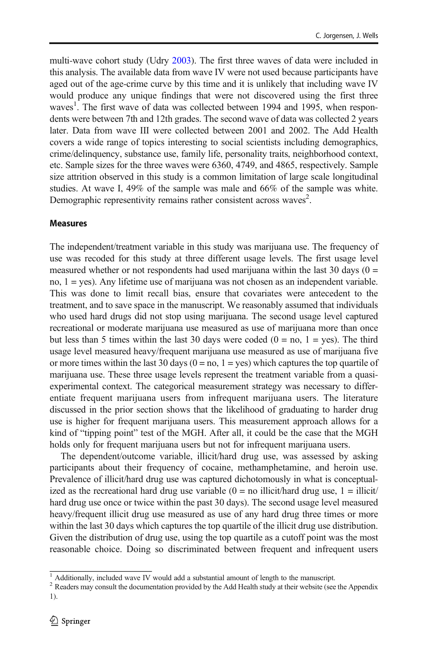multi-wave cohort study (Udry [2003](#page-17-0)). The first three waves of data were included in this analysis. The available data from wave IV were not used because participants have aged out of the age-crime curve by this time and it is unlikely that including wave IV would produce any unique findings that were not discovered using the first three waves<sup>1</sup>. The first wave of data was collected between 1994 and 1995, when respondents were between 7th and 12th grades. The second wave of data was collected 2 years later. Data from wave III were collected between 2001 and 2002. The Add Health covers a wide range of topics interesting to social scientists including demographics, crime/delinquency, substance use, family life, personality traits, neighborhood context, etc. Sample sizes for the three waves were 6360, 4749, and 4865, respectively. Sample size attrition observed in this study is a common limitation of large scale longitudinal studies. At wave I, 49% of the sample was male and 66% of the sample was white. Demographic representivity remains rather consistent across waves<sup>2</sup>.

#### Measures

The independent/treatment variable in this study was marijuana use. The frequency of use was recoded for this study at three different usage levels. The first usage level measured whether or not respondents had used marijuana within the last 30 days  $(0 =$ no,  $1 = yes$ ). Any lifetime use of marijuana was not chosen as an independent variable. This was done to limit recall bias, ensure that covariates were antecedent to the treatment, and to save space in the manuscript. We reasonably assumed that individuals who used hard drugs did not stop using marijuana. The second usage level captured recreational or moderate marijuana use measured as use of marijuana more than once but less than 5 times within the last 30 days were coded  $(0 = no, 1 = yes)$ . The third usage level measured heavy/frequent marijuana use measured as use of marijuana five or more times within the last 30 days  $(0 = no, 1 = yes)$  which captures the top quartile of marijuana use. These three usage levels represent the treatment variable from a quasiexperimental context. The categorical measurement strategy was necessary to differentiate frequent marijuana users from infrequent marijuana users. The literature discussed in the prior section shows that the likelihood of graduating to harder drug use is higher for frequent marijuana users. This measurement approach allows for a kind of "tipping point" test of the MGH. After all, it could be the case that the MGH holds only for frequent marijuana users but not for infrequent marijuana users.

The dependent/outcome variable, illicit/hard drug use, was assessed by asking participants about their frequency of cocaine, methamphetamine, and heroin use. Prevalence of illicit/hard drug use was captured dichotomously in what is conceptualized as the recreational hard drug use variable  $(0 = no$  illicit/hard drug use,  $1 =$  illicit/ hard drug use once or twice within the past 30 days). The second usage level measured heavy/frequent illicit drug use measured as use of any hard drug three times or more within the last 30 days which captures the top quartile of the illicit drug use distribution. Given the distribution of drug use, using the top quartile as a cutoff point was the most reasonable choice. Doing so discriminated between frequent and infrequent users

 $\frac{1}{1}$  Additionally, included wave IV would add a substantial amount of length to the manuscript.

 $2$  Readers may consult the documentation provided by the Add Health study at their website (see the Appendix 1).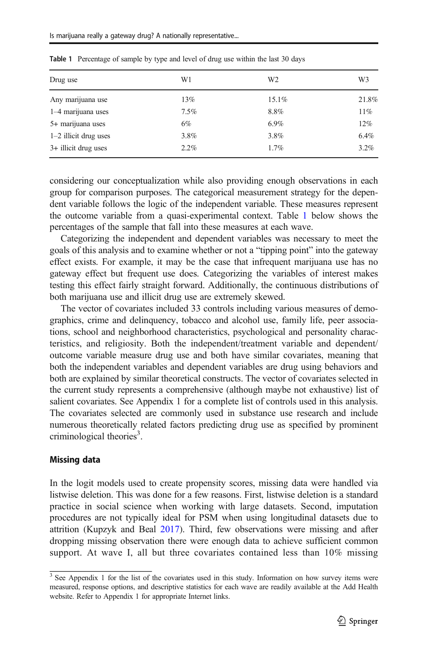| Drug use                | W1      | W <sub>2</sub> | W3    |
|-------------------------|---------|----------------|-------|
| Any marijuana use       | 13%     | 15.1%          | 21.8% |
| 1-4 marijuana uses      | $7.5\%$ | 8.8%           | 11%   |
| 5+ marijuana uses       | 6%      | 6.9%           | 12%   |
| $1-2$ illicit drug uses | 3.8%    | 3.8%           | 6.4%  |
| 3+ illicit drug uses    | 2.2%    | $1.7\%$        | 3.2%  |

Table 1 Percentage of sample by type and level of drug use within the last 30 days

considering our conceptualization while also providing enough observations in each group for comparison purposes. The categorical measurement strategy for the dependent variable follows the logic of the independent variable. These measures represent the outcome variable from a quasi-experimental context. Table 1 below shows the percentages of the sample that fall into these measures at each wave.

Categorizing the independent and dependent variables was necessary to meet the goals of this analysis and to examine whether or not a "tipping point" into the gateway effect exists. For example, it may be the case that infrequent marijuana use has no gateway effect but frequent use does. Categorizing the variables of interest makes testing this effect fairly straight forward. Additionally, the continuous distributions of both marijuana use and illicit drug use are extremely skewed.

The vector of covariates included 33 controls including various measures of demographics, crime and delinquency, tobacco and alcohol use, family life, peer associations, school and neighborhood characteristics, psychological and personality characteristics, and religiosity. Both the independent/treatment variable and dependent/ outcome variable measure drug use and both have similar covariates, meaning that both the independent variables and dependent variables are drug using behaviors and both are explained by similar theoretical constructs. The vector of covariates selected in the current study represents a comprehensive (although maybe not exhaustive) list of salient covariates. See Appendix 1 for a complete list of controls used in this analysis. The covariates selected are commonly used in substance use research and include numerous theoretically related factors predicting drug use as specified by prominent criminological theories<sup>3</sup>.

#### Missing data

In the logit models used to create propensity scores, missing data were handled via listwise deletion. This was done for a few reasons. First, listwise deletion is a standard practice in social science when working with large datasets. Second, imputation procedures are not typically ideal for PSM when using longitudinal datasets due to attrition (Kupzyk and Beal [2017](#page-16-0)). Third, few observations were missing and after dropping missing observation there were enough data to achieve sufficient common support. At wave I, all but three covariates contained less than 10% missing

<sup>&</sup>lt;sup>3</sup> See Appendix 1 for the list of the covariates used in this study. Information on how survey items were measured, response options, and descriptive statistics for each wave are readily available at the Add Health website. Refer to Appendix 1 for appropriate Internet links.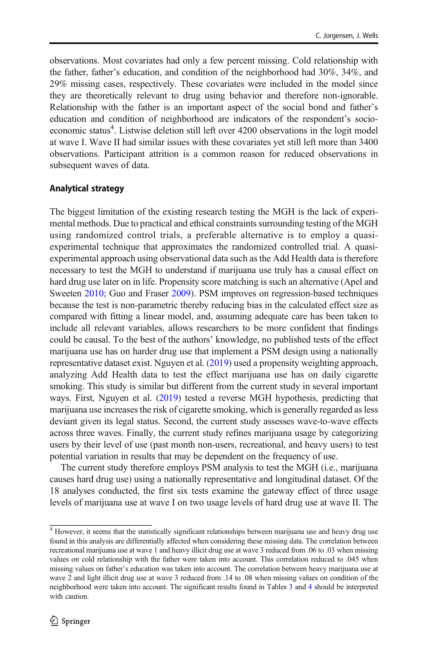observations. Most covariates had only a few percent missing. Cold relationship with the father, father's education, and condition of the neighborhood had 30%, 34%, and 29% missing cases, respectively. These covariates were included in the model since they are theoretically relevant to drug using behavior and therefore non-ignorable. Relationship with the father is an important aspect of the social bond and father's education and condition of neighborhood are indicators of the respondent's socioeconomic status<sup>4</sup>. Listwise deletion still left over 4200 observations in the logit model at wave I. Wave II had similar issues with these covariates yet still left more than 3400 observations. Participant attrition is a common reason for reduced observations in subsequent waves of data.

### Analytical strategy

The biggest limitation of the existing research testing the MGH is the lack of experimental methods. Due to practical and ethical constraints surrounding testing of the MGH using randomized control trials, a preferable alternative is to employ a quasiexperimental technique that approximates the randomized controlled trial. A quasiexperimental approach using observational data such as the Add Health data is therefore necessary to test the MGH to understand if marijuana use truly has a causal effect on hard drug use later on in life. Propensity score matching is such an alternative (Apel and Sweeten [2010](#page-15-0); Guo and Fraser [2009\)](#page-16-0). PSM improves on regression-based techniques because the test is non-parametric thereby reducing bias in the calculated effect size as compared with fitting a linear model, and, assuming adequate care has been taken to include all relevant variables, allows researchers to be more confident that findings could be causal. To the best of the authors' knowledge, no published tests of the effect marijuana use has on harder drug use that implement a PSM design using a nationally representative dataset exist. Nguyen et al. [\(2019\)](#page-16-0) used a propensity weighting approach, analyzing Add Health data to test the effect marijuana use has on daily cigarette smoking. This study is similar but different from the current study in several important ways. First, Nguyen et al. [\(2019\)](#page-16-0) tested a reverse MGH hypothesis, predicting that marijuana use increases the risk of cigarette smoking, which is generally regarded as less deviant given its legal status. Second, the current study assesses wave-to-wave effects across three waves. Finally, the current study refines marijuana usage by categorizing users by their level of use (past month non-users, recreational, and heavy users) to test potential variation in results that may be dependent on the frequency of use.

The current study therefore employs PSM analysis to test the MGH (i.e., marijuana causes hard drug use) using a nationally representative and longitudinal dataset. Of the 18 analyses conducted, the first six tests examine the gateway effect of three usage levels of marijuana use at wave I on two usage levels of hard drug use at wave II. The

 $4$  However, it seems that the statistically significant relationships between marijuana use and heavy drug use found in this analysis are differentially affected when considering these missing data. The correlation between recreational marijuana use at wave 1 and heavy illicit drug use at wave 3 reduced from .06 to .03 when missing values on cold relationship with the father were taken into account. This correlation reduced to .045 when missing values on father's education was taken into account. The correlation between heavy marijuana use at wave 2 and light illicit drug use at wave 3 reduced from .14 to .08 when missing values on condition of the neighborhood were taken into account. The significant results found in Tables [3](#page-10-0) and [4](#page-11-0) should be interpreted with caution.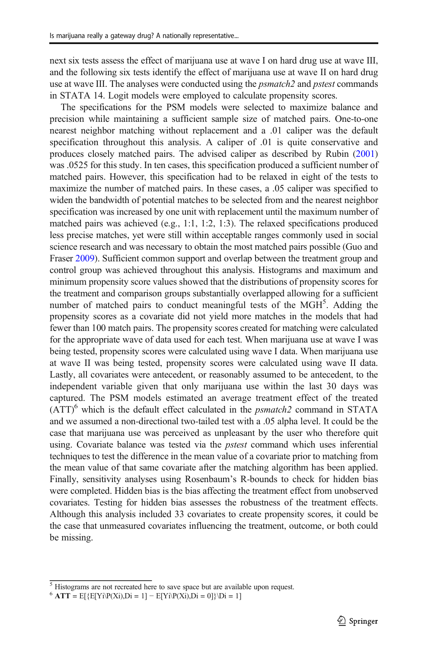next six tests assess the effect of marijuana use at wave I on hard drug use at wave III, and the following six tests identify the effect of marijuana use at wave II on hard drug use at wave III. The analyses were conducted using the *psmatch*2 and *pstest* commands in STATA 14. Logit models were employed to calculate propensity scores.

The specifications for the PSM models were selected to maximize balance and precision while maintaining a sufficient sample size of matched pairs. One-to-one nearest neighbor matching without replacement and a .01 caliper was the default specification throughout this analysis. A caliper of .01 is quite conservative and produces closely matched pairs. The advised caliper as described by Rubin ([2001](#page-17-0)) was .0525 for this study. In ten cases, this specification produced a sufficient number of matched pairs. However, this specification had to be relaxed in eight of the tests to maximize the number of matched pairs. In these cases, a .05 caliper was specified to widen the bandwidth of potential matches to be selected from and the nearest neighbor specification was increased by one unit with replacement until the maximum number of matched pairs was achieved (e.g., 1:1, 1:2, 1:3). The relaxed specifications produced less precise matches, yet were still within acceptable ranges commonly used in social science research and was necessary to obtain the most matched pairs possible (Guo and Fraser [2009](#page-16-0)). Sufficient common support and overlap between the treatment group and control group was achieved throughout this analysis. Histograms and maximum and minimum propensity score values showed that the distributions of propensity scores for the treatment and comparison groups substantially overlapped allowing for a sufficient number of matched pairs to conduct meaningful tests of the MGH<sup>5</sup>. Adding the propensity scores as a covariate did not yield more matches in the models that had fewer than 100 match pairs. The propensity scores created for matching were calculated for the appropriate wave of data used for each test. When marijuana use at wave I was being tested, propensity scores were calculated using wave I data. When marijuana use at wave II was being tested, propensity scores were calculated using wave II data. Lastly, all covariates were antecedent, or reasonably assumed to be antecedent, to the independent variable given that only marijuana use within the last 30 days was captured. The PSM models estimated an average treatment effect of the treated  $(ATT)^6$  which is the default effect calculated in the *psmatch2* command in STATA and we assumed a non-directional two-tailed test with a .05 alpha level. It could be the case that marijuana use was perceived as unpleasant by the user who therefore quit using. Covariate balance was tested via the *pstest* command which uses inferential techniques to test the difference in the mean value of a covariate prior to matching from the mean value of that same covariate after the matching algorithm has been applied. Finally, sensitivity analyses using Rosenbaum's R-bounds to check for hidden bias were completed. Hidden bias is the bias affecting the treatment effect from unobserved covariates. Testing for hidden bias assesses the robustness of the treatment effects. Although this analysis included 33 covariates to create propensity scores, it could be the case that unmeasured covariates influencing the treatment, outcome, or both could be missing.

<sup>5</sup> Histograms are not recreated here to save space but are available upon request.

 $6$  ATT = E[{E[Yi\P(Xi),Di = 1] – E[Yi\P(Xi),Di = 0]}\Di = 1]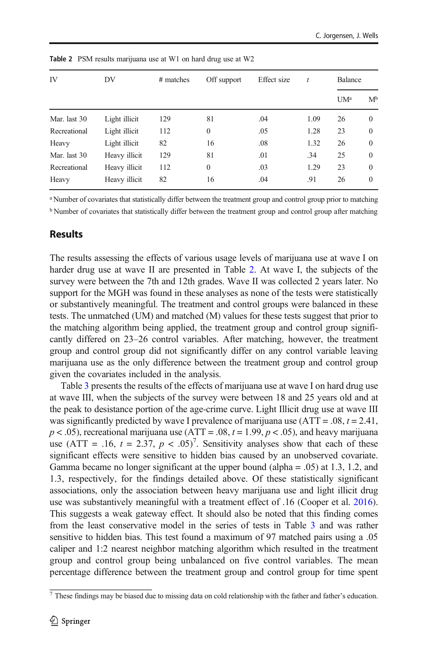| IV           | DV            | # matches | Off support  | Effect size | t    | Balance         |              |
|--------------|---------------|-----------|--------------|-------------|------|-----------------|--------------|
|              |               |           |              |             |      | UM <sup>a</sup> | $M^b$        |
| Mar. last 30 | Light illicit | 129       | 81           | .04         | 1.09 | 26              | $\Omega$     |
| Recreational | Light illicit | 112       | $\mathbf{0}$ | .05         | 1.28 | 23              | $\mathbf{0}$ |
| Heavy        | Light illicit | 82        | 16           | .08         | 1.32 | 26              | $\Omega$     |
| Mar. last 30 | Heavy illicit | 129       | 81           | .01         | .34  | 25              | $\Omega$     |
| Recreational | Heavy illicit | 112       | $\mathbf{0}$ | .03         | 1.29 | 23              | $\Omega$     |
| Heavy        | Heavy illicit | 82        | 16           | .04         | .91  | 26              | $\Omega$     |

Table 2 PSM results marijuana use at W1 on hard drug use at W2

<sup>a</sup> Number of covariates that statistically differ between the treatment group and control group prior to matching

<sup>b</sup> Number of covariates that statistically differ between the treatment group and control group after matching

### Results

The results assessing the effects of various usage levels of marijuana use at wave I on harder drug use at wave II are presented in Table 2. At wave I, the subjects of the survey were between the 7th and 12th grades. Wave II was collected 2 years later. No support for the MGH was found in these analyses as none of the tests were statistically or substantively meaningful. The treatment and control groups were balanced in these tests. The unmatched (UM) and matched (M) values for these tests suggest that prior to the matching algorithm being applied, the treatment group and control group significantly differed on 23–26 control variables. After matching, however, the treatment group and control group did not significantly differ on any control variable leaving marijuana use as the only difference between the treatment group and control group given the covariates included in the analysis.

Table [3](#page-10-0) presents the results of the effects of marijuana use at wave I on hard drug use at wave III, when the subjects of the survey were between 18 and 25 years old and at the peak to desistance portion of the age-crime curve. Light Illicit drug use at wave III was significantly predicted by wave I prevalence of marijuana use  $(ATT = .08, t = 2.41,$  $p < .05$ ), recreational marijuana use (ATT =  $.08$ ,  $t = 1.99$ ,  $p < .05$ ), and heavy marijuana use (ATT = .16,  $t = 2.37$ ,  $p < .05$ )<sup>7</sup>. Sensitivity analyses show that each of these significant effects were sensitive to hidden bias caused by an unobserved covariate. Gamma became no longer significant at the upper bound (alpha = .05) at 1.3, 1.2, and 1.3, respectively, for the findings detailed above. Of these statistically significant associations, only the association between heavy marijuana use and light illicit drug use was substantively meaningful with a treatment effect of .16 (Cooper et al. [2016\)](#page-15-0). This suggests a weak gateway effect. It should also be noted that this finding comes from the least conservative model in the series of tests in Table [3](#page-10-0) and was rather sensitive to hidden bias. This test found a maximum of 97 matched pairs using a .05 caliper and 1:2 nearest neighbor matching algorithm which resulted in the treatment group and control group being unbalanced on five control variables. The mean percentage difference between the treatment group and control group for time spent

<sup>&</sup>lt;sup>7</sup> These findings may be biased due to missing data on cold relationship with the father and father's education.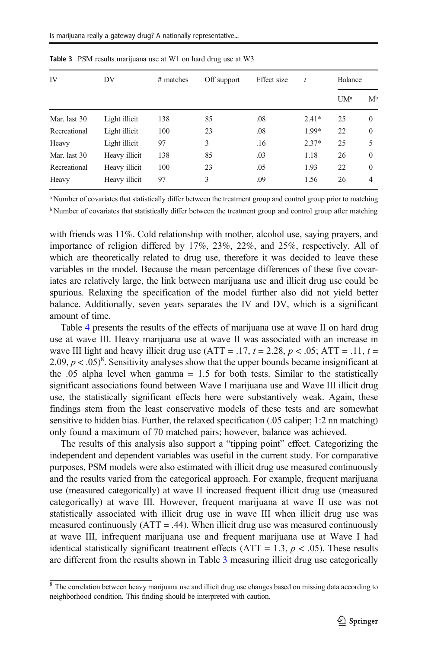| IV           | DV            | # matches | Off support | Effect size | t       | Balance |                |
|--------------|---------------|-----------|-------------|-------------|---------|---------|----------------|
|              |               |           |             |             |         | $UM^a$  | M <sup>b</sup> |
| Mar. last 30 | Light illicit | 138       | 85          | .08         | $2.41*$ | 25      | $\mathbf{0}$   |
| Recreational | Light illicit | 100       | 23          | .08         | 1.99*   | 22      | $\mathbf{0}$   |
| Heavy        | Light illicit | 97        | 3           | .16         | $2.37*$ | 25      | 5              |
| Mar. last 30 | Heavy illicit | 138       | 85          | .03         | 1.18    | 26      | $\Omega$       |
| Recreational | Heavy illicit | 100       | 23          | .05         | 1.93    | 22      | $\Omega$       |
| Heavy        | Heavy illicit | 97        | 3           | .09         | 1.56    | 26      | 4              |

<span id="page-10-0"></span>Table 3 PSM results marijuana use at W1 on hard drug use at W3

<sup>a</sup> Number of covariates that statistically differ between the treatment group and control group prior to matching <sup>b</sup> Number of covariates that statistically differ between the treatment group and control group after matching

with friends was 11%. Cold relationship with mother, alcohol use, saying prayers, and importance of religion differed by 17%, 23%, 22%, and 25%, respectively. All of which are theoretically related to drug use, therefore it was decided to leave these variables in the model. Because the mean percentage differences of these five covariates are relatively large, the link between marijuana use and illicit drug use could be spurious. Relaxing the specification of the model further also did not yield better balance. Additionally, seven years separates the IV and DV, which is a significant amount of time.

Table [4](#page-11-0) presents the results of the effects of marijuana use at wave II on hard drug use at wave III. Heavy marijuana use at wave II was associated with an increase in wave III light and heavy illicit drug use  $(ATT = .17, t = 2.28, p < .05; ATT = .11, t =$ 2.09,  $p < .05)^8$ . Sensitivity analyses show that the upper bounds became insignificant at the .05 alpha level when gamma  $= 1.5$  for both tests. Similar to the statistically significant associations found between Wave I marijuana use and Wave III illicit drug use, the statistically significant effects here were substantively weak. Again, these findings stem from the least conservative models of these tests and are somewhat sensitive to hidden bias. Further, the relaxed specification (.05 caliper; 1:2 nn matching) only found a maximum of 70 matched pairs; however, balance was achieved.

The results of this analysis also support a "tipping point" effect. Categorizing the independent and dependent variables was useful in the current study. For comparative purposes, PSM models were also estimated with illicit drug use measured continuously and the results varied from the categorical approach. For example, frequent marijuana use (measured categorically) at wave II increased frequent illicit drug use (measured categorically) at wave III. However, frequent marijuana at wave II use was not statistically associated with illicit drug use in wave III when illicit drug use was measured continuously  $(ATT = .44)$ . When illicit drug use was measured continuously at wave III, infrequent marijuana use and frequent marijuana use at Wave I had identical statistically significant treatment effects (ATT = 1.3,  $p < .05$ ). These results are different from the results shown in Table 3 measuring illicit drug use categorically

<sup>&</sup>lt;sup>8</sup> The correlation between heavy marijuana use and illicit drug use changes based on missing data according to neighborhood condition. This finding should be interpreted with caution.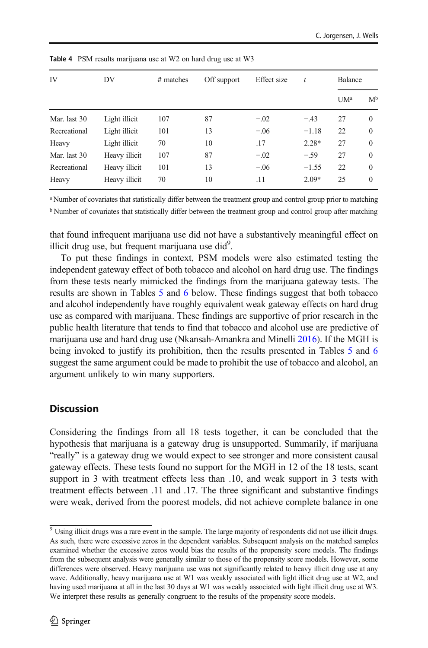| IV           | DV            | # matches | Off support | Effect size | t       | <b>Balance</b>  |                |
|--------------|---------------|-----------|-------------|-------------|---------|-----------------|----------------|
|              |               |           |             |             |         | UM <sup>a</sup> | M <sup>b</sup> |
| Mar. last 30 | Light illicit | 107       | 87          | $-.02$      | $-.43$  | 27              | $\Omega$       |
| Recreational | Light illicit | 101       | 13          | $-.06$      | $-1.18$ | 22              | $\Omega$       |
| Heavy        | Light illicit | 70        | 10          | .17         | $2.28*$ | 27              | $\Omega$       |
| Mar. last 30 | Heavy illicit | 107       | 87          | $-.02$      | $-.59$  | 27              | $\Omega$       |
| Recreational | Heavy illicit | 101       | 13          | $-.06$      | $-1.55$ | 22              | $\Omega$       |
| Heavy        | Heavy illicit | 70        | 10          | .11         | $2.09*$ | 25              | $\Omega$       |

<span id="page-11-0"></span>Table 4 PSM results marijuana use at W2 on hard drug use at W3

<sup>a</sup> Number of covariates that statistically differ between the treatment group and control group prior to matching

<sup>b</sup> Number of covariates that statistically differ between the treatment group and control group after matching

that found infrequent marijuana use did not have a substantively meaningful effect on illicit drug use, but frequent marijuana use did $^{9}$ .

To put these findings in context, PSM models were also estimated testing the independent gateway effect of both tobacco and alcohol on hard drug use. The findings from these tests nearly mimicked the findings from the marijuana gateway tests. The results are shown in Tables [5](#page-12-0) and [6](#page-12-0) below. These findings suggest that both tobacco and alcohol independently have roughly equivalent weak gateway effects on hard drug use as compared with marijuana. These findings are supportive of prior research in the public health literature that tends to find that tobacco and alcohol use are predictive of marijuana use and hard drug use (Nkansah-Amankra and Minelli [2016](#page-16-0)). If the MGH is being invoked to justify its prohibition, then the results presented in Tables [5](#page-12-0) and [6](#page-12-0) suggest the same argument could be made to prohibit the use of tobacco and alcohol, an argument unlikely to win many supporters.

### **Discussion**

Considering the findings from all 18 tests together, it can be concluded that the hypothesis that marijuana is a gateway drug is unsupported. Summarily, if marijuana "really" is a gateway drug we would expect to see stronger and more consistent causal gateway effects. These tests found no support for the MGH in 12 of the 18 tests, scant support in 3 with treatment effects less than .10, and weak support in 3 tests with treatment effects between .11 and .17. The three significant and substantive findings were weak, derived from the poorest models, did not achieve complete balance in one

 $\frac{9}{9}$  Using illicit drugs was a rare event in the sample. The large majority of respondents did not use illicit drugs. As such, there were excessive zeros in the dependent variables. Subsequent analysis on the matched samples examined whether the excessive zeros would bias the results of the propensity score models. The findings from the subsequent analysis were generally similar to those of the propensity score models. However, some differences were observed. Heavy marijuana use was not significantly related to heavy illicit drug use at any wave. Additionally, heavy marijuana use at W1 was weakly associated with light illicit drug use at W2, and having used marijuana at all in the last 30 days at W1 was weakly associated with light illicit drug use at W3. We interpret these results as generally congruent to the results of the propensity score models.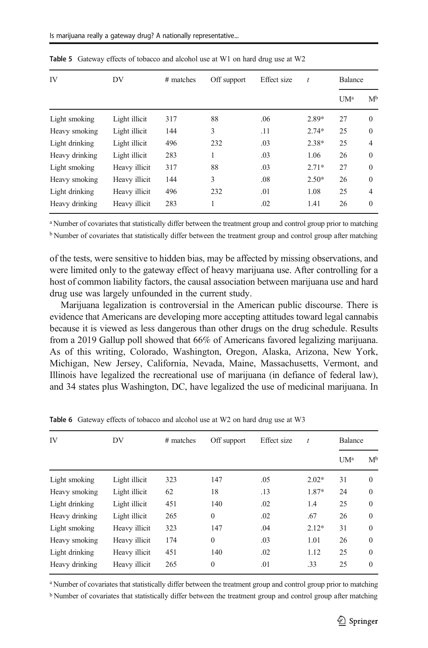| IV             | DV            | # matches | Off support | Effect size | $\boldsymbol{t}$ | Balance |                |
|----------------|---------------|-----------|-------------|-------------|------------------|---------|----------------|
|                |               |           |             |             |                  | $UM^a$  | M <sup>b</sup> |
| Light smoking  | Light illicit | 317       | 88          | .06         | 2.89*            | 27      | $\Omega$       |
| Heavy smoking  | Light illicit | 144       | 3           | .11         | $2.74*$          | 25      | $\Omega$       |
| Light drinking | Light illicit | 496       | 232         | .03         | $2.38*$          | 25      | $\overline{4}$ |
| Heavy drinking | Light illicit | 283       | 1           | .03         | 1.06             | 26      | $\Omega$       |
| Light smoking  | Heavy illicit | 317       | 88          | .03         | $2.71*$          | 27      | $\Omega$       |
| Heavy smoking  | Heavy illicit | 144       | 3           | .08         | $2.50*$          | 26      | $\Omega$       |
| Light drinking | Heavy illicit | 496       | 232         | .01         | 1.08             | 25      | $\overline{4}$ |
| Heavy drinking | Heavy illicit | 283       |             | .02         | 1.41             | 26      | $\Omega$       |

<span id="page-12-0"></span>Table 5 Gateway effects of tobacco and alcohol use at W1 on hard drug use at W2

<sup>a</sup> Number of covariates that statistically differ between the treatment group and control group prior to matching

<sup>b</sup> Number of covariates that statistically differ between the treatment group and control group after matching

of the tests, were sensitive to hidden bias, may be affected by missing observations, and were limited only to the gateway effect of heavy marijuana use. After controlling for a host of common liability factors, the causal association between marijuana use and hard drug use was largely unfounded in the current study.

Marijuana legalization is controversial in the American public discourse. There is evidence that Americans are developing more accepting attitudes toward legal cannabis because it is viewed as less dangerous than other drugs on the drug schedule. Results from a 2019 Gallup poll showed that 66% of Americans favored legalizing marijuana. As of this writing, Colorado, Washington, Oregon, Alaska, Arizona, New York, Michigan, New Jersey, California, Nevada, Maine, Massachusetts, Vermont, and Illinois have legalized the recreational use of marijuana (in defiance of federal law), and 34 states plus Washington, DC, have legalized the use of medicinal marijuana. In

| IV             | DV            | # matches | Off support  | Effect size | t       | <b>Balance</b>  |          |
|----------------|---------------|-----------|--------------|-------------|---------|-----------------|----------|
|                |               |           |              |             |         | UM <sup>a</sup> | $M^b$    |
| Light smoking  | Light illicit | 323       | 147          | .05         | $2.02*$ | 31              | $\Omega$ |
| Heavy smoking  | Light illicit | 62        | 18           | .13         | 1.87*   | 24              | $\Omega$ |
| Light drinking | Light illicit | 451       | 140          | .02         | 1.4     | 25              | $\Omega$ |
| Heavy drinking | Light illicit | 265       | $\mathbf{0}$ | .02         | .67     | 26              | $\Omega$ |
| Light smoking  | Heavy illicit | 323       | 147          | .04         | $2.12*$ | 31              | $\Omega$ |
| Heavy smoking  | Heavy illicit | 174       | $\theta$     | .03         | 1.01    | 26              | $\Omega$ |
| Light drinking | Heavy illicit | 451       | 140          | .02         | 1.12    | 25              | $\Omega$ |
| Heavy drinking | Heavy illicit | 265       | $\theta$     | .01         | .33     | 25              | $\Omega$ |

Table 6 Gateway effects of tobacco and alcohol use at W2 on hard drug use at W3

<sup>a</sup> Number of covariates that statistically differ between the treatment group and control group prior to matching

<sup>b</sup> Number of covariates that statistically differ between the treatment group and control group after matching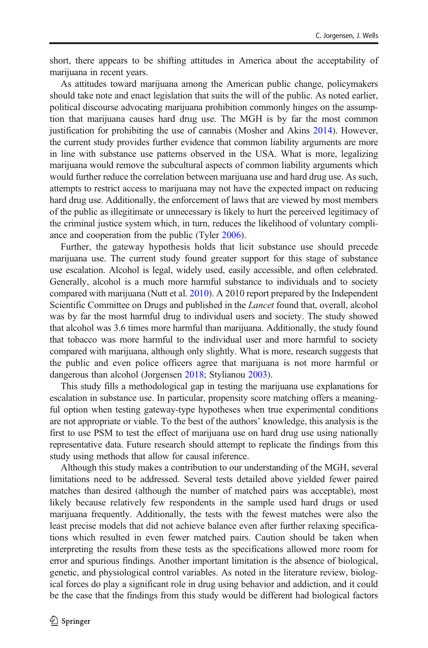short, there appears to be shifting attitudes in America about the acceptability of marijuana in recent years.

As attitudes toward marijuana among the American public change, policymakers should take note and enact legislation that suits the will of the public. As noted earlier, political discourse advocating marijuana prohibition commonly hinges on the assumption that marijuana causes hard drug use. The MGH is by far the most common justification for prohibiting the use of cannabis (Mosher and Akins [2014](#page-16-0)). However, the current study provides further evidence that common liability arguments are more in line with substance use patterns observed in the USA. What is more, legalizing marijuana would remove the subcultural aspects of common liability arguments which would further reduce the correlation between marijuana use and hard drug use. As such, attempts to restrict access to marijuana may not have the expected impact on reducing hard drug use. Additionally, the enforcement of laws that are viewed by most members of the public as illegitimate or unnecessary is likely to hurt the perceived legitimacy of the criminal justice system which, in turn, reduces the likelihood of voluntary compliance and cooperation from the public (Tyler [2006](#page-17-0)).

Further, the gateway hypothesis holds that licit substance use should precede marijuana use. The current study found greater support for this stage of substance use escalation. Alcohol is legal, widely used, easily accessible, and often celebrated. Generally, alcohol is a much more harmful substance to individuals and to society compared with marijuana (Nutt et al. [2010](#page-16-0)). A 2010 report prepared by the Independent Scientific Committee on Drugs and published in the *Lancet* found that, overall, alcohol was by far the most harmful drug to individual users and society. The study showed that alcohol was 3.6 times more harmful than marijuana. Additionally, the study found that tobacco was more harmful to the individual user and more harmful to society compared with marijuana, although only slightly. What is more, research suggests that the public and even police officers agree that marijuana is not more harmful or dangerous than alcohol (Jorgensen [2018](#page-16-0); Stylianou [2003\)](#page-17-0).

This study fills a methodological gap in testing the marijuana use explanations for escalation in substance use. In particular, propensity score matching offers a meaningful option when testing gateway-type hypotheses when true experimental conditions are not appropriate or viable. To the best of the authors' knowledge, this analysis is the first to use PSM to test the effect of marijuana use on hard drug use using nationally representative data. Future research should attempt to replicate the findings from this study using methods that allow for causal inference.

Although this study makes a contribution to our understanding of the MGH, several limitations need to be addressed. Several tests detailed above yielded fewer paired matches than desired (although the number of matched pairs was acceptable), most likely because relatively few respondents in the sample used hard drugs or used marijuana frequently. Additionally, the tests with the fewest matches were also the least precise models that did not achieve balance even after further relaxing specifications which resulted in even fewer matched pairs. Caution should be taken when interpreting the results from these tests as the specifications allowed more room for error and spurious findings. Another important limitation is the absence of biological, genetic, and physiological control variables. As noted in the literature review, biological forces do play a significant role in drug using behavior and addiction, and it could be the case that the findings from this study would be different had biological factors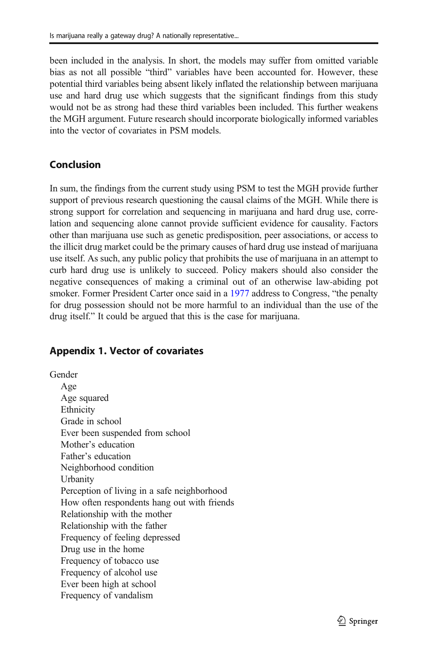been included in the analysis. In short, the models may suffer from omitted variable bias as not all possible "third" variables have been accounted for. However, these potential third variables being absent likely inflated the relationship between marijuana use and hard drug use which suggests that the significant findings from this study would not be as strong had these third variables been included. This further weakens the MGH argument. Future research should incorporate biologically informed variables into the vector of covariates in PSM models.

# Conclusion

In sum, the findings from the current study using PSM to test the MGH provide further support of previous research questioning the causal claims of the MGH. While there is strong support for correlation and sequencing in marijuana and hard drug use, correlation and sequencing alone cannot provide sufficient evidence for causality. Factors other than marijuana use such as genetic predisposition, peer associations, or access to the illicit drug market could be the primary causes of hard drug use instead of marijuana use itself. As such, any public policy that prohibits the use of marijuana in an attempt to curb hard drug use is unlikely to succeed. Policy makers should also consider the negative consequences of making a criminal out of an otherwise law-abiding pot smoker. Former President Carter once said in a [1977](#page-15-0) address to Congress, "the penalty for drug possession should not be more harmful to an individual than the use of the drug itself." It could be argued that this is the case for marijuana.

# Appendix 1. Vector of covariates

Gender Age Age squared Ethnicity Grade in school Ever been suspended from school Mother's education Father's education Neighborhood condition Urbanity Perception of living in a safe neighborhood How often respondents hang out with friends Relationship with the mother Relationship with the father Frequency of feeling depressed Drug use in the home Frequency of tobacco use Frequency of alcohol use Ever been high at school Frequency of vandalism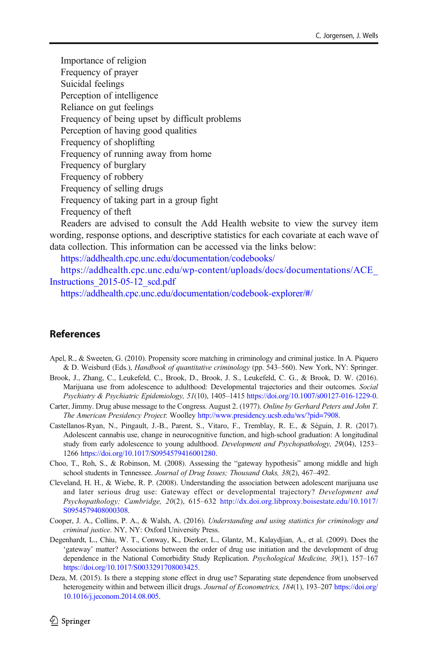<span id="page-15-0"></span>Importance of religion Frequency of prayer Suicidal feelings Perception of intelligence Reliance on gut feelings Frequency of being upset by difficult problems Perception of having good qualities Frequency of shoplifting Frequency of running away from home Frequency of burglary Frequency of robbery Frequency of selling drugs Frequency of taking part in a group fight Frequency of theft

Readers are advised to consult the Add Health website to view the survey item wording, response options, and descriptive statistics for each covariate at each wave of data collection. This information can be accessed via the links below:

<https://addhealth.cpc.unc.edu/documentation/codebooks/>

[https://addhealth.cpc.unc.edu/wp-content/uploads/docs/documentations/ACE\\_](https://addhealth.cpc.unc.edu/wp-content/uploads/docs/documentations/ACE_Instructions_2015-05-12_scd.pdf) [Instructions\\_2015-05-12\\_scd.pdf](https://addhealth.cpc.unc.edu/wp-content/uploads/docs/documentations/ACE_Instructions_2015-05-12_scd.pdf)

<https://addhealth.cpc.unc.edu/documentation/codebook-explorer/#/>

# **References**

- Apel, R., & Sweeten, G. (2010). Propensity score matching in criminology and criminal justice. In A. Piquero & D. Weisburd (Eds.), Handbook of quantitative criminology (pp. 543–560). New York, NY: Springer.
- Brook, J., Zhang, C., Leukefeld, C., Brook, D., Brook, J. S., Leukefeld, C. G., & Brook, D. W. (2016). Marijuana use from adolescence to adulthood: Developmental trajectories and their outcomes. Social Psychiatry & Psychiatric Epidemiology, 51(10), 1405–1415 <https://doi.org/10.1007/s00127-016-1229-0>.
- Carter, Jimmy. Drug abuse message to the Congress. August 2. (1977). Online by Gerhard Peters and John T. The American Presidency Project: Woolley [http://www.presidency.ucsb.edu/ws/?pid=7908.](http://www.presidency.ucsb.edu/ws/?pid=7908)
- Castellanos-Ryan, N., Pingault, J.-B., Parent, S., Vitaro, F., Tremblay, R. E., & Séguin, J. R. (2017). Adolescent cannabis use, change in neurocognitive function, and high-school graduation: A longitudinal study from early adolescence to young adulthood. Development and Psychopathology, 29(04), 1253– 1266 <https://doi.org/10.1017/S0954579416001280>.
- Choo, T., Roh, S., & Robinson, M. (2008). Assessing the "gateway hypothesis" among middle and high school students in Tennessee. Journal of Drug Issues; Thousand Oaks, 38(2), 467–492.
- Cleveland, H. H., & Wiebe, R. P. (2008). Understanding the association between adolescent marijuana use and later serious drug use: Gateway effect or developmental trajectory? Development and Psychopathology; Cambridge, 20(2), 615–632 [http://dx.doi.org.libproxy.boisestate.edu/10.1017/](http://dx.doi.org.libproxy.boisestate.edu/10.1017/S0954579408000308) [S0954579408000308](http://dx.doi.org.libproxy.boisestate.edu/10.1017/S0954579408000308).
- Cooper, J. A., Collins, P. A., & Walsh, A. (2016). Understanding and using statistics for criminology and criminal justice. NY, NY: Oxford University Press.
- Degenhardt, L., Chiu, W. T., Conway, K., Dierker, L., Glantz, M., Kalaydjian, A., et al. (2009). Does the 'gateway' matter? Associations between the order of drug use initiation and the development of drug dependence in the National Comorbidity Study Replication. Psychological Medicine, 39(1), 157–167 <https://doi.org/10.1017/S0033291708003425>.
- Deza, M. (2015). Is there a stepping stone effect in drug use? Separating state dependence from unobserved heterogeneity within and between illicit drugs. Journal of Econometrics, 184(1), 193–207 [https://doi.org/](https://doi.org/10.1016/j.jeconom.2014.08.005) [10.1016/j.jeconom.2014.08.005](https://doi.org/10.1016/j.jeconom.2014.08.005).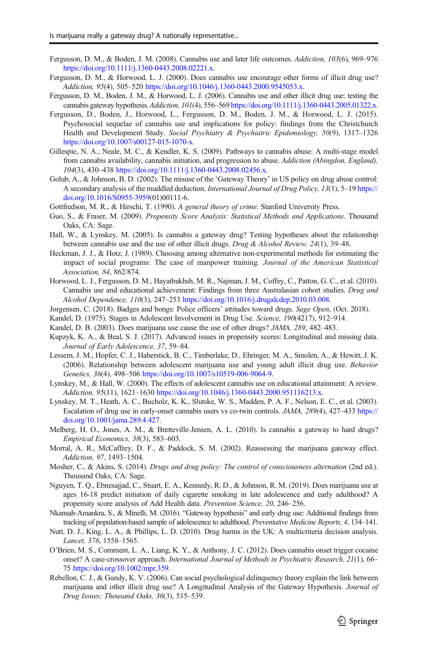- <span id="page-16-0"></span>Fergusson, D. M., & Boden, J. M. (2008). Cannabis use and later life outcomes. Addiction, 103(6), 969–976 [https://doi.org/10.1111/j.1360-0443.2008.02221.x.](https://doi.org/10.1111/j.1360-0443.2008.02221.x)
- Fergusson, D. M., & Horwood, L. J. (2000). Does cannabis use encourage other forms of illicit drug use? Addiction, 95(4), 505–520 <https://doi.org/10.1046/j.1360-0443.2000.9545053.x>.
- Fergusson, D. M., Boden, J. M., & Horwood, L. J. (2006). Cannabis use and other illicit drug use: testing the cannabis gateway hypothesis. Addiction, 101(4), 556–569 <https://doi.org/10.1111/j.1360-0443.2005.01322.x>.
- Fergusson, D., Boden, J., Horwood, L., Fergusson, D. M., Boden, J. M., & Horwood, L. J. (2015). Psychosocial sequelae of cannabis use and implications for policy: findings from the Christchurch Health and Development Study. Social Psychiatry & Psychiatric Epidemiology, 50(9), 1317–1326 [https://doi.org/10.1007/s00127-015-1070-x.](https://doi.org/10.1007/s00127-015-1070-x)
- Gillespie, N. A., Neale, M. C., & Kendler, K. S. (2009). Pathways to cannabis abuse: A multi-stage model from cannabis availability, cannabis initiation, and progression to abuse. Addiction (Abingdon, England), 104(3), 430–438 <https://doi.org/10.1111/j.1360-0443.2008.02456.x>.
- Golub, A., & Johnson, B. D. (2002). The misuse of the 'Gateway Theory' in US policy on drug abuse control: A secondary analysis of the muddled deduction. International Journal of Drug Policy, 13(1), 5–19 [https://](https://doi.org/10.1016/S0955-3959) [doi.org/10.1016/S0955-3959\(](https://doi.org/10.1016/S0955-3959)01)00111-6.
- Gottfredson, M. R., & Hirschi, T. (1990). A general theory of crime. Stanford University Press.
- Guo, S., & Fraser, M. (2009). Propensity Score Analysis: Statistical Methods and Applications. Thousand Oaks, CA: Sage.
- Hall, W., & Lynskey, M. (2005). Is cannabis a gateway drug? Testing hypotheses about the relationship between cannabis use and the use of other illicit drugs. Drug & Alcohol Review, 24(1), 39–48.
- Heckman, J. J., & Hotz, J. (1989). Choosing among alternative non-experimental methods for estimating the impact of social programs: The case of manpower training. Journal of the American Statistical Association, 84, 862/874.
- Horwood, L. J., Fergusson, D. M., Hayatbakhsh, M. R., Najman, J. M., Coffey, C., Patton, G. C., et al. (2010). Cannabis use and educational achievement: Findings from three Australasian cohort studies. Drug and Alcohol Dependence, 110(3), 247–253 <https://doi.org/10.1016/j.drugalcdep.2010.03.008>.
- Jorgensen, C. (2018). Badges and bongs: Police officers' attitudes toward drugs. Sage Open, (Oct. 2018).
- Kandel, D. (1975). Stages in Adolescent Involvement in Drug Use. Science, 190(4217), 912-914.
- Kandel, D. B. (2003). Does marijuana use cause the use of other drugs? JAMA, 289, 482–483.
- Kupzyk, K. A., & Beal, S. J. (2017). Advanced issues in propensity scores: Longitudinal and missing data. Journal of Early Adolescence, 37, 59–84.
- Lessem, J. M., Hopfer, C. J., Haberstick, B. C., Timberlake, D., Ehringer, M. A., Smolen, A., & Hewitt, J. K. (2006). Relationship between adolescent marijuana use and young adult illicit drug use. Behavior Genetics, 36(4), 498–506 <https://doi.org/10.1007/s10519-006-9064-9>.
- Lynskey, M., & Hall, W. (2000). The effects of adolescent cannabis use on educational attainment: A review. Addiction, 95(11), 1621–1630 <https://doi.org/10.1046/j.1360-0443.2000.951116213.x>.
- Lynskey, M. T., Heath, A. C., Bucholz, K. K., Slutske, W. S., Madden, P. A. F., Nelson, E. C., et al. (2003). Escalation of drug use in early-onset cannabis users vs co-twin controls. JAMA, 289(4), 427–433 [https://](https://doi.org/10.1001/jama.289.4.427) [doi.org/10.1001/jama.289.4.427.](https://doi.org/10.1001/jama.289.4.427)
- Melberg, H. O., Jones, A. M., & Bretteville-Jensen, A. L. (2010). Is cannabis a gateway to hard drugs? Empirical Economics, 38(3), 583–603.
- Morral, A. R., McCaffrey, D. F., & Paddock, S. M. (2002). Reassessing the marijuana gateway effect. Addiction, 97, 1493–1504.
- Mosher, C., & Akins, S. (2014). Drugs and drug policy: The control of consciousness alternation (2nd ed.). Thousand Oaks, CA: Sage.
- Nguyen, T. Q., Ebnesajjad, C., Stuart, E. A., Kennedy, R. D., & Johnson, R. M. (2019). Does marijuana use at ages 16-18 predict initiation of daily cigarette smoking in late adolescence and early adulthood? A propensity score analysis of Add Health data. Prevention Science, 20, 246–256.
- Nkansah-Amankra, S., & Minelli, M. (2016). "Gateway hypothesis" and early drug use: Additional findings from tracking of population-based sample of adolescence to adulthood. Preventative Medicine Reports, 4, 134–141.
- Nutt, D. J., King, L. A., & Phillips, L. D. (2010). Drug harms in the UK: A multicriteria decision analysis. Lancet, 376, 1558–1565.
- O'Brien, M. S., Comment, L. A., Liang, K. Y., & Anthony, J. C. (2012). Does cannabis onset trigger cocaine onset? A case-crossover approach. International Journal of Methods in Psychiatric Research, 21(1), 66– 75 <https://doi.org/10.1002/mpr.359>.
- Rebellon, C. J., & Gundy, K. V. (2006). Can social psychological delinquency theory explain the link between marijuana and other illicit drug use? A Longitudinal Analysis of the Gateway Hypothesis. Journal of Drug Issues; Thousand Oaks, 36(3), 515–539.